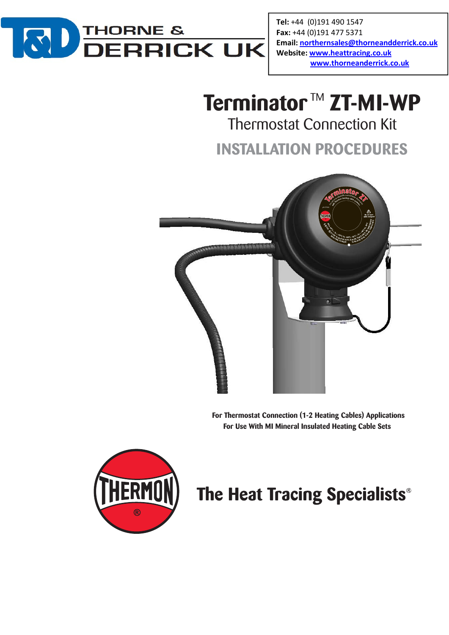

Tel: +44 (0)191 490 1547 Fax: +44 (0)191 477 5371 Email: northernsales@thorneandderrick.co.uk Website: www.heattracing.co.uk www.thorneanderrick.co.uk

# **Terminator™ ZT-MI-WP**

Thermostat Connection Kit

**INSTALLATION PROCEDURES**



**For Thermostat Connection (1-2 Heating Cables) Applications For Use With MI Mineral Insulated Heating Cable Sets**



## The Heat Tracing Specialists®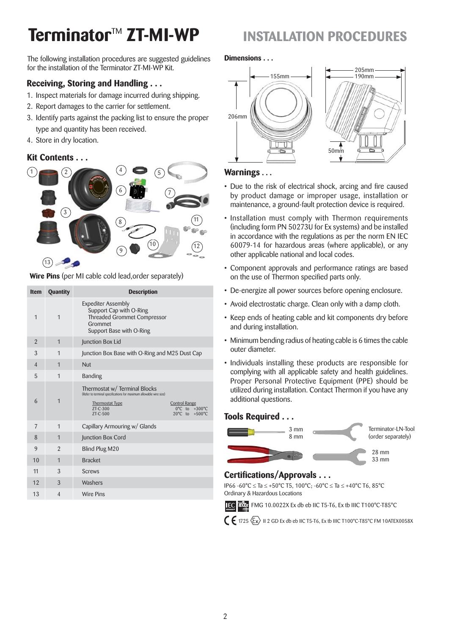## **Terminator**TM **ZT-MI-WP INSTALLATION PROCEDURES**

The following installation procedures are suggested guidelines for the installation of the Terminator ZT-MI-WP Kit.

### **Receiving, Storing and Handling . . .**

- 1. Inspect materials for damage incurred during shipping.
- 2. Report damages to the carrier for settlement.
- 3. Identify parts against the packing list to ensure the proper type and quantity has been received.
- 4. Store in dry location.

### **Kit Contents . . .**



**Wire Pins** (per MI cable cold lead,order separately)

| <b>Item</b>    | <b>Quantity</b> | <b>Description</b>                                                                                                                                                                                                                                          |
|----------------|-----------------|-------------------------------------------------------------------------------------------------------------------------------------------------------------------------------------------------------------------------------------------------------------|
| $\mathbf 1$    | $\overline{1}$  | <b>Expediter Assembly</b><br>Support Cap with O-Ring<br><b>Threaded Grommet Compressor</b><br>Grommet<br>Support Base with O-Ring                                                                                                                           |
| $\overline{2}$ | 1               | Junction Box Lid                                                                                                                                                                                                                                            |
| 3              | $\mathbf 1$     | Junction Box Base with O-Ring and M25 Dust Cap                                                                                                                                                                                                              |
| $\overline{4}$ | $\overline{1}$  | Nut                                                                                                                                                                                                                                                         |
| 5              | $\overline{1}$  | <b>Banding</b>                                                                                                                                                                                                                                              |
| 6              | $\overline{1}$  | Thermostat w/ Terminal Blocks<br>(Refer to terminal specifications for maximum allowable wire size)<br><b>Thermostat Type</b><br><b>Control Range</b><br>7T-C-300<br>$0^{\circ}$ C to $+300^{\circ}$ C<br>7T-C-500<br>$20^{\circ}$ C to<br>$+500^{\circ}$ C |
| 7              | 1               | Capillary Armouring w/ Glands                                                                                                                                                                                                                               |
| 8              | $\mathbf{1}$    | Junction Box Cord                                                                                                                                                                                                                                           |
| 9              | $\mathfrak{p}$  | Blind Plug M20                                                                                                                                                                                                                                              |
| 10             | $\overline{1}$  | <b>Bracket</b>                                                                                                                                                                                                                                              |
| 11             | 3               | <b>Screws</b>                                                                                                                                                                                                                                               |
| 12             | 3               | Washers                                                                                                                                                                                                                                                     |
| 13             | $\overline{4}$  | <b>Wire Pins</b>                                                                                                                                                                                                                                            |

#### **Dimensions . . .**



#### **Warnings . . .**

- Due to the risk of electrical shock, arcing and fire caused by product damage or improper usage, installation or maintenance, a ground-fault protection device is required.
- Installation must comply with Thermon requirements (including form PN 50273U for Ex systems) and be installed in accordance with the regulations as per the norm EN IEC 60079-14 for hazardous areas (where applicable), or any other applicable national and local codes.
- Component approvals and performance ratings are based on the use of Thermon specified parts only.
- De-energize all power sources before opening enclosure.
- Avoid electrostatic charge. Clean only with a damp cloth.
- Keep ends of heating cable and kit components dry before and during installation.
- Minimum bending radius of heating cable is 6 times the cable outer diameter.
- Individuals installing these products are responsible for complying with all applicable safety and health guidelines. Proper Personal Protective Equipment (PPE) should be utilized during installation. Contact Thermon if you have any additional questions.

### **Tools Required . . .**



### **Certifications/Approvals ...**

IP66 -60 °C ≤ Ta ≤ +50 °C T5, 100 °C; -60 °C ≤ Ta ≤ +40 °C T6, 85 °C Ordinary & Hazardous Locations



FMG 10.0022X Ex db eb IIC T5-T6, Ex tb IIIC T100°C-T85°C

 $\bm{\zeta}$   $\bm{\epsilon}$  1725  $\langle \overline{\varsigma_x} \rangle$  ii 2 GD Ex db eb IIC T5-T6, Ex tb IIIC T100°C-T85°C FM 10ATEX0058X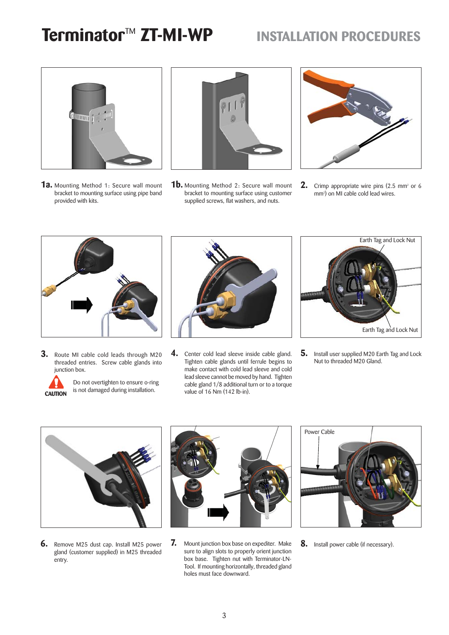## **Terminator<sup>™</sup> ZT-MI-WP INSTALLATION PROCEDURES**



**1a.** Mounting Method 1: Secure wall mount bracket to mounting surface using pipe band provided with kits.



**1b.** Mounting Method 2: Secure wall mount bracket to mounting surface using customer supplied screws, flat washers, and nuts.



**2.** Crimp appropriate wire pins (2.5 mm<sup>2</sup> or 6 mm<sup>2</sup>) on MI cable cold lead wires.



**3.** Route MI cable cold leads through M20 threaded entries. Screw cable glands into junction box.



Do not overtighten to ensure o-ring is not damaged during installation. **CAUTION**



**4.** Center cold lead sleeve inside cable gland. Tighten cable glands until ferrule begins to make contact with cold lead sleeve and cold lead sleeve cannot be moved by hand. Tighten cable gland 1/8 additional turn or to a torque value of 16 Nm (142 lb-in).



**5.** Install user supplied M20 Earth Tag and Lock Nut to threaded M20 Gland.



**6.** Remove M25 dust cap. Install M25 power gland (customer supplied) in M25 threaded entry.



**7.** Mount junction box base on expediter. Make sure to align slots to properly orient junction box base. Tighten nut with Terminator-LN-Tool. If mounting horizontally, threaded gland holes must face downward.



**8.** Install power cable (if necessary).